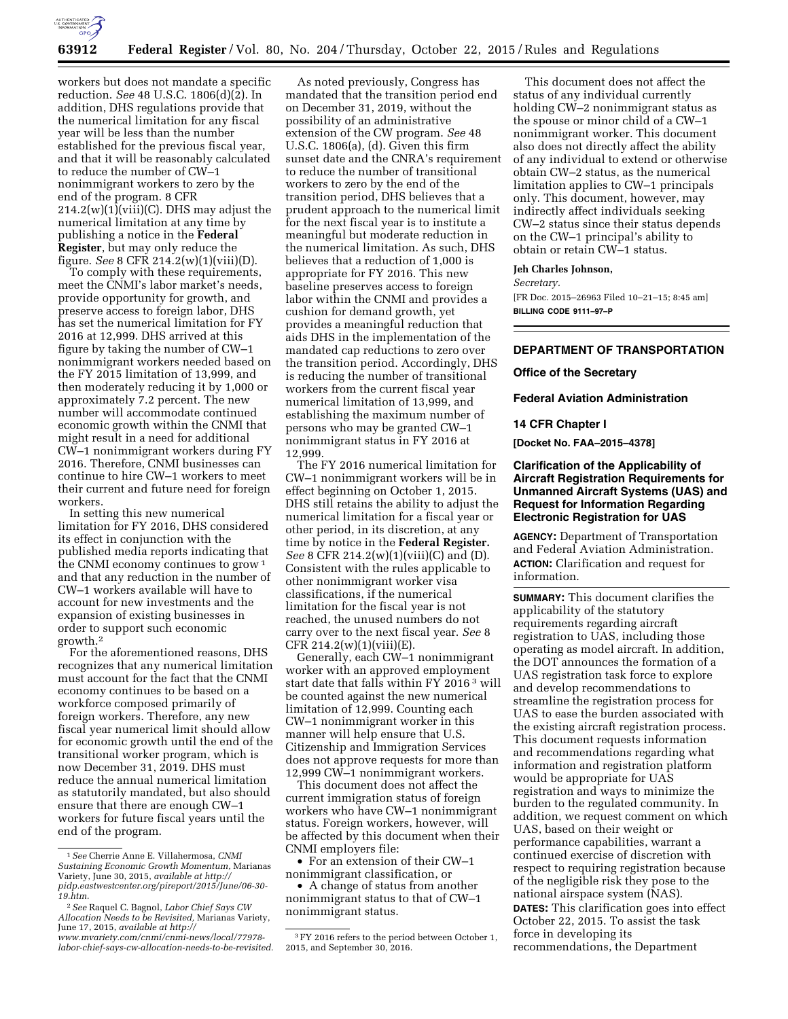

workers but does not mandate a specific reduction. *See* 48 U.S.C. 1806(d)(2). In addition, DHS regulations provide that the numerical limitation for any fiscal year will be less than the number established for the previous fiscal year, and that it will be reasonably calculated to reduce the number of CW–1 nonimmigrant workers to zero by the end of the program. 8 CFR  $214.2(w)(1)(viii)(C)$ . DHS may adjust the numerical limitation at any time by publishing a notice in the **Federal Register**, but may only reduce the figure. *See* 8 CFR 214.2(w)(1)(viii)(D).

To comply with these requirements, meet the CNMI's labor market's needs, provide opportunity for growth, and preserve access to foreign labor, DHS has set the numerical limitation for FY 2016 at 12,999. DHS arrived at this figure by taking the number of CW–1 nonimmigrant workers needed based on the FY 2015 limitation of 13,999, and then moderately reducing it by 1,000 or approximately 7.2 percent. The new number will accommodate continued economic growth within the CNMI that might result in a need for additional CW–1 nonimmigrant workers during FY 2016. Therefore, CNMI businesses can continue to hire CW–1 workers to meet their current and future need for foreign workers.

In setting this new numerical limitation for FY 2016, DHS considered its effect in conjunction with the published media reports indicating that the CNMI economy continues to grow 1 and that any reduction in the number of CW–1 workers available will have to account for new investments and the expansion of existing businesses in order to support such economic growth.2

For the aforementioned reasons, DHS recognizes that any numerical limitation must account for the fact that the CNMI economy continues to be based on a workforce composed primarily of foreign workers. Therefore, any new fiscal year numerical limit should allow for economic growth until the end of the transitional worker program, which is now December 31, 2019. DHS must reduce the annual numerical limitation as statutorily mandated, but also should ensure that there are enough CW–1 workers for future fiscal years until the end of the program.

As noted previously, Congress has mandated that the transition period end on December 31, 2019, without the possibility of an administrative extension of the CW program. *See* 48 U.S.C. 1806(a), (d). Given this firm sunset date and the CNRA's requirement to reduce the number of transitional workers to zero by the end of the transition period, DHS believes that a prudent approach to the numerical limit for the next fiscal year is to institute a meaningful but moderate reduction in the numerical limitation. As such, DHS believes that a reduction of 1,000 is appropriate for FY 2016. This new baseline preserves access to foreign labor within the CNMI and provides a cushion for demand growth, yet provides a meaningful reduction that aids DHS in the implementation of the mandated cap reductions to zero over the transition period. Accordingly, DHS is reducing the number of transitional workers from the current fiscal year numerical limitation of 13,999, and establishing the maximum number of persons who may be granted CW–1 nonimmigrant status in FY 2016 at 12,999.

The FY 2016 numerical limitation for CW–1 nonimmigrant workers will be in effect beginning on October 1, 2015. DHS still retains the ability to adjust the numerical limitation for a fiscal year or other period, in its discretion, at any time by notice in the **Federal Register.**  *See* 8 CFR 214.2(w)(1)(viii)(C) and (D). Consistent with the rules applicable to other nonimmigrant worker visa classifications, if the numerical limitation for the fiscal year is not reached, the unused numbers do not carry over to the next fiscal year. *See* 8 CFR 214.2(w)(1)(viii)(E).

Generally, each CW–1 nonimmigrant worker with an approved employment start date that falls within FY 2016 3 will be counted against the new numerical limitation of 12,999. Counting each CW–1 nonimmigrant worker in this manner will help ensure that U.S. Citizenship and Immigration Services does not approve requests for more than 12,999 CW–1 nonimmigrant workers.

This document does not affect the current immigration status of foreign workers who have CW–1 nonimmigrant status. Foreign workers, however, will be affected by this document when their CNMI employers file:

• For an extension of their CW–1 nonimmigrant classification, or

• A change of status from another nonimmigrant status to that of CW–1 nonimmigrant status.

This document does not affect the status of any individual currently holding CW–2 nonimmigrant status as the spouse or minor child of a CW–1 nonimmigrant worker. This document also does not directly affect the ability of any individual to extend or otherwise obtain CW–2 status, as the numerical limitation applies to CW–1 principals only. This document, however, may indirectly affect individuals seeking CW–2 status since their status depends on the CW–1 principal's ability to obtain or retain CW–1 status.

### **Jeh Charles Johnson,**

*Secretary.* 

[FR Doc. 2015–26963 Filed 10–21–15; 8:45 am] **BILLING CODE 9111–97–P** 

#### **DEPARTMENT OF TRANSPORTATION**

#### **Office of the Secretary**

**Federal Aviation Administration** 

### **14 CFR Chapter I**

**[Docket No. FAA–2015–4378]** 

# **Clarification of the Applicability of Aircraft Registration Requirements for Unmanned Aircraft Systems (UAS) and Request for Information Regarding Electronic Registration for UAS**

**AGENCY:** Department of Transportation and Federal Aviation Administration. **ACTION:** Clarification and request for information.

**SUMMARY:** This document clarifies the applicability of the statutory requirements regarding aircraft registration to UAS, including those operating as model aircraft. In addition, the DOT announces the formation of a UAS registration task force to explore and develop recommendations to streamline the registration process for UAS to ease the burden associated with the existing aircraft registration process. This document requests information and recommendations regarding what information and registration platform would be appropriate for UAS registration and ways to minimize the burden to the regulated community. In addition, we request comment on which UAS, based on their weight or performance capabilities, warrant a continued exercise of discretion with respect to requiring registration because of the negligible risk they pose to the national airspace system (NAS). **DATES:** This clarification goes into effect October 22, 2015. To assist the task force in developing its recommendations, the Department

<sup>1</sup>*See* Cherrie Anne E. Villahermosa, *CNMI Sustaining Economic Growth Momentum,* Marianas Variety, June 30, 2015, *available at [http://](http://pidp.eastwestcenter.org/pireport/2015/June/06-30-19.htm) [pidp.eastwestcenter.org/pireport/2015/June/06-30-](http://pidp.eastwestcenter.org/pireport/2015/June/06-30-19.htm) [19.htm.](http://pidp.eastwestcenter.org/pireport/2015/June/06-30-19.htm)* 

<sup>2</sup>*See* Raquel C. Bagnol, *Labor Chief Says CW Allocation Needs to be Revisited,* Marianas Variety, June 17, 2015, *available at [http://](http://www.mvariety.com/cnmi/cnmi-news/local/77978-labor-chief-says-cw-allocation-needs-to-be-revisited) [www.mvariety.com/cnmi/cnmi-news/local/77978-](http://www.mvariety.com/cnmi/cnmi-news/local/77978-labor-chief-says-cw-allocation-needs-to-be-revisited)* 

*[labor-chief-says-cw-allocation-needs-to-be-revisited.](http://www.mvariety.com/cnmi/cnmi-news/local/77978-labor-chief-says-cw-allocation-needs-to-be-revisited)* 

<sup>3</sup>FY 2016 refers to the period between October 1, 2015, and September 30, 2016.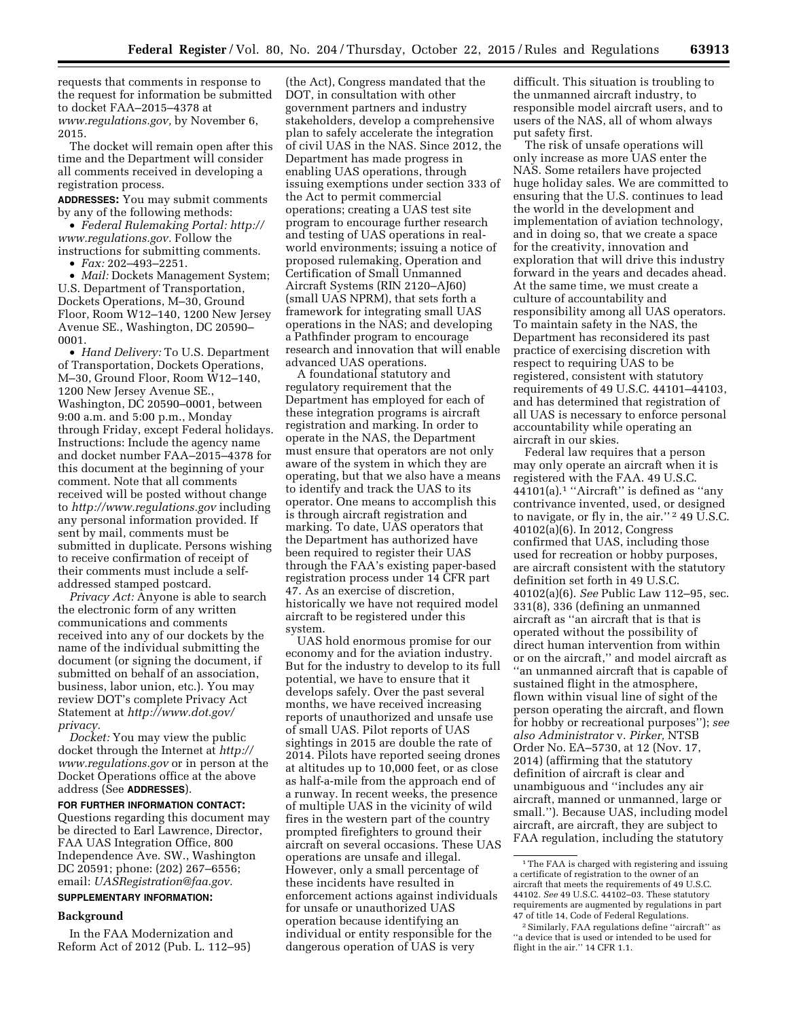requests that comments in response to the request for information be submitted to docket FAA–2015–4378 at *[www.regulations.gov,](http://www.regulations.gov)* by November 6, 2015.

The docket will remain open after this time and the Department will consider all comments received in developing a registration process.

**ADDRESSES:** You may submit comments by any of the following methods:

• *Federal Rulemaking Portal: [http://](http://www.regulations.gov) [www.regulations.gov.](http://www.regulations.gov)* Follow the instructions for submitting comments.

• *Fax:* 202–493–2251.

• *Mail:* Dockets Management System; U.S. Department of Transportation, Dockets Operations, M–30, Ground Floor, Room W12–140, 1200 New Jersey Avenue SE., Washington, DC 20590– 0001.

• *Hand Delivery:* To U.S. Department of Transportation, Dockets Operations, M–30, Ground Floor, Room W12–140, 1200 New Jersey Avenue SE., Washington, DC 20590–0001, between 9:00 a.m. and 5:00 p.m., Monday through Friday, except Federal holidays. Instructions: Include the agency name and docket number FAA–2015–4378 for this document at the beginning of your comment. Note that all comments received will be posted without change to *<http://www.regulations.gov>*including any personal information provided. If sent by mail, comments must be submitted in duplicate. Persons wishing to receive confirmation of receipt of their comments must include a selfaddressed stamped postcard.

*Privacy Act:* Anyone is able to search the electronic form of any written communications and comments received into any of our dockets by the name of the individual submitting the document (or signing the document, if submitted on behalf of an association, business, labor union, etc.). You may review DOT's complete Privacy Act Statement at *[http://www.dot.gov/](http://www.dot.gov/privacy) [privacy.](http://www.dot.gov/privacy)* 

*Docket:* You may view the public docket through the Internet at *[http://](http://www.regulations.gov) [www.regulations.gov](http://www.regulations.gov)* or in person at the Docket Operations office at the above address (See **ADDRESSES**).

### **FOR FURTHER INFORMATION CONTACT:**

Questions regarding this document may be directed to Earl Lawrence, Director, FAA UAS Integration Office, 800 Independence Ave. SW., Washington DC 20591; phone: (202) 267–6556; email: *[UASRegistration@faa.gov.](mailto:UASRegistration@faa.gov)* 

# **SUPPLEMENTARY INFORMATION:**

### **Background**

In the FAA Modernization and Reform Act of 2012 (Pub. L. 112–95)

(the Act), Congress mandated that the DOT, in consultation with other government partners and industry stakeholders, develop a comprehensive plan to safely accelerate the integration of civil UAS in the NAS. Since 2012, the Department has made progress in enabling UAS operations, through issuing exemptions under section 333 of the Act to permit commercial operations; creating a UAS test site program to encourage further research and testing of UAS operations in realworld environments; issuing a notice of proposed rulemaking, Operation and Certification of Small Unmanned Aircraft Systems (RIN 2120–AJ60) (small UAS NPRM), that sets forth a framework for integrating small UAS operations in the NAS; and developing a Pathfinder program to encourage research and innovation that will enable advanced UAS operations.

A foundational statutory and regulatory requirement that the Department has employed for each of these integration programs is aircraft registration and marking. In order to operate in the NAS, the Department must ensure that operators are not only aware of the system in which they are operating, but that we also have a means to identify and track the UAS to its operator. One means to accomplish this is through aircraft registration and marking. To date, UAS operators that the Department has authorized have been required to register their UAS through the FAA's existing paper-based registration process under 14 CFR part 47. As an exercise of discretion, historically we have not required model aircraft to be registered under this system.

UAS hold enormous promise for our economy and for the aviation industry. But for the industry to develop to its full potential, we have to ensure that it develops safely. Over the past several months, we have received increasing reports of unauthorized and unsafe use of small UAS. Pilot reports of UAS sightings in 2015 are double the rate of 2014. Pilots have reported seeing drones at altitudes up to 10,000 feet, or as close as half-a-mile from the approach end of a runway. In recent weeks, the presence of multiple UAS in the vicinity of wild fires in the western part of the country prompted firefighters to ground their aircraft on several occasions. These UAS operations are unsafe and illegal. However, only a small percentage of these incidents have resulted in enforcement actions against individuals for unsafe or unauthorized UAS operation because identifying an individual or entity responsible for the dangerous operation of UAS is very

difficult. This situation is troubling to the unmanned aircraft industry, to responsible model aircraft users, and to users of the NAS, all of whom always put safety first.

The risk of unsafe operations will only increase as more UAS enter the NAS. Some retailers have projected huge holiday sales. We are committed to ensuring that the U.S. continues to lead the world in the development and implementation of aviation technology, and in doing so, that we create a space for the creativity, innovation and exploration that will drive this industry forward in the years and decades ahead. At the same time, we must create a culture of accountability and responsibility among all UAS operators. To maintain safety in the NAS, the Department has reconsidered its past practice of exercising discretion with respect to requiring UAS to be registered, consistent with statutory requirements of 49 U.S.C. 44101–44103, and has determined that registration of all UAS is necessary to enforce personal accountability while operating an aircraft in our skies.

Federal law requires that a person may only operate an aircraft when it is registered with the FAA. 49 U.S.C. 44101(a).1 ''Aircraft'' is defined as ''any contrivance invented, used, or designed to navigate, or fly in, the air.'' 2 49 U.S.C. 40102(a)(6). In 2012, Congress confirmed that UAS, including those used for recreation or hobby purposes, are aircraft consistent with the statutory definition set forth in 49 U.S.C. 40102(a)(6). *See* Public Law 112–95, sec. 331(8), 336 (defining an unmanned aircraft as ''an aircraft that is that is operated without the possibility of direct human intervention from within or on the aircraft,'' and model aircraft as ''an unmanned aircraft that is capable of sustained flight in the atmosphere, flown within visual line of sight of the person operating the aircraft, and flown for hobby or recreational purposes''); *see also Administrator* v. *Pirker,* NTSB Order No. EA–5730, at 12 (Nov. 17, 2014) (affirming that the statutory definition of aircraft is clear and unambiguous and ''includes any air aircraft, manned or unmanned, large or small.''). Because UAS, including model aircraft, are aircraft, they are subject to FAA regulation, including the statutory

 $^{\rm 1}\!$  The FAA is charged with registering and issuing a certificate of registration to the owner of an aircraft that meets the requirements of 49 U.S.C. 44102. *See* 49 U.S.C. 44102–03. These statutory requirements are augmented by regulations in part 47 of title 14, Code of Federal Regulations.

<sup>2</sup>Similarly, FAA regulations define ''aircraft'' as ''a device that is used or intended to be used for flight in the air.'' 14 CFR 1.1.